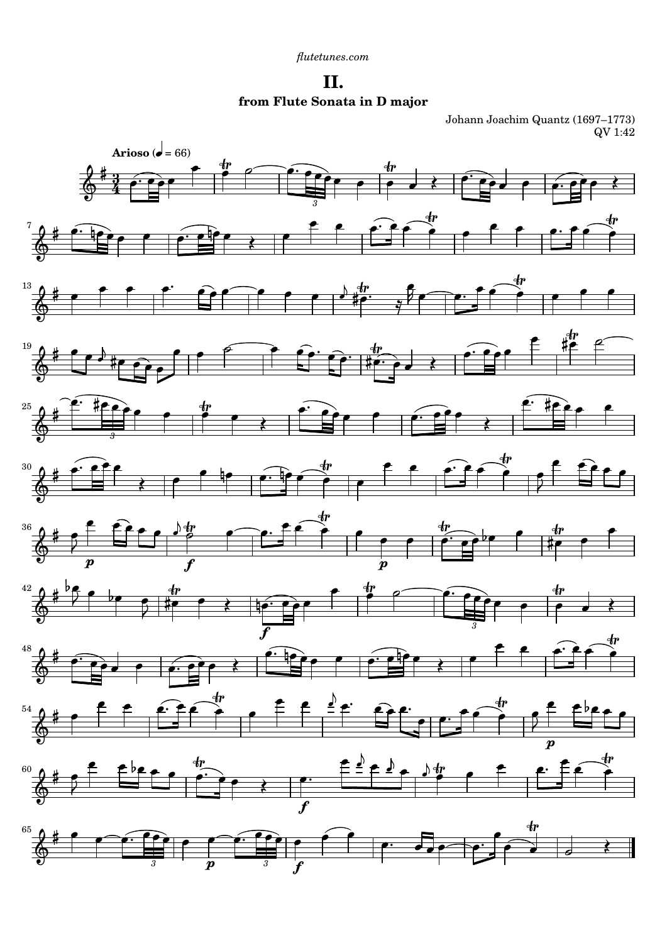**II. from Flute Sonata in D major**

Johann Joachim Quantz (1697–1773) QV 1:42

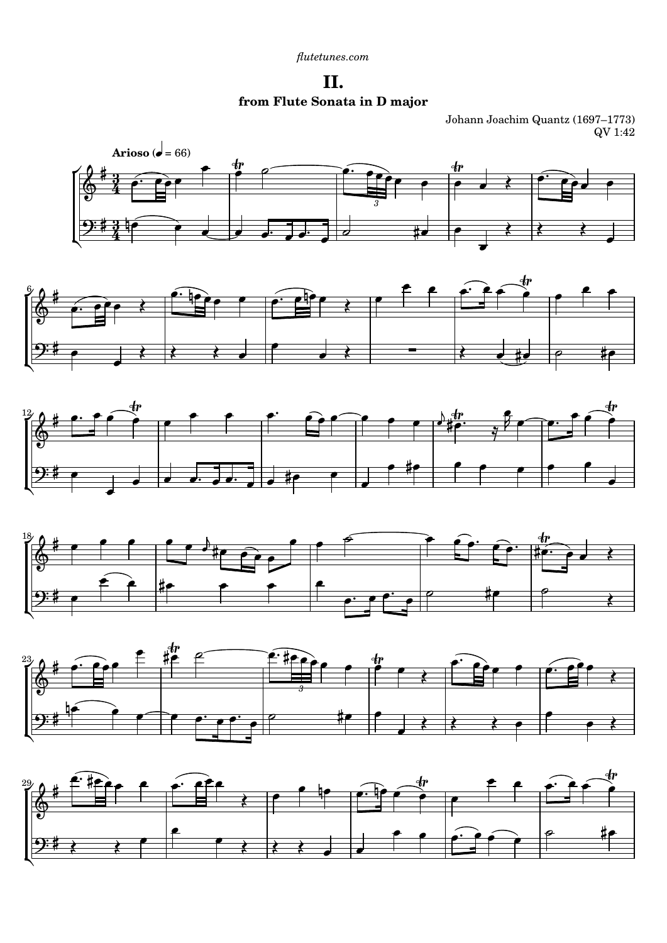*[flutetunes.com](http://www.flutetunes.com)*

**II. from Flute Sonata in D major**

Johann Joachim Quantz (1697–1773) QV 1:42